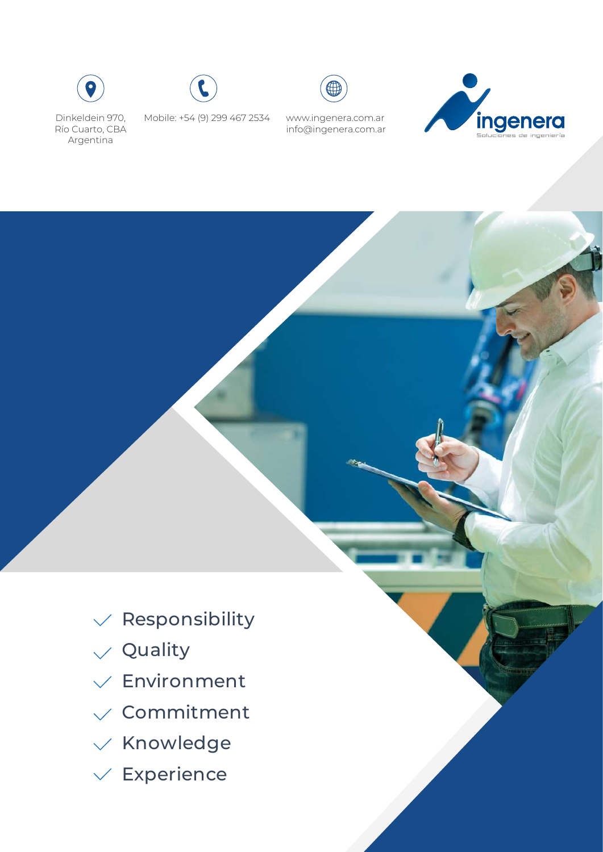







Mobile: +54 (9) 299 467 2534 www.ingenera.com.ar info@ingenera.com.ar



- $\vee$  Responsibility
- $\sqrt{ }$  Quality
- $\sqrt{\frac{1}{2}}$ Environment
- $\sqrt{\ }$  Commitment
- $\times$  Knowledge
- $\vee$  Experience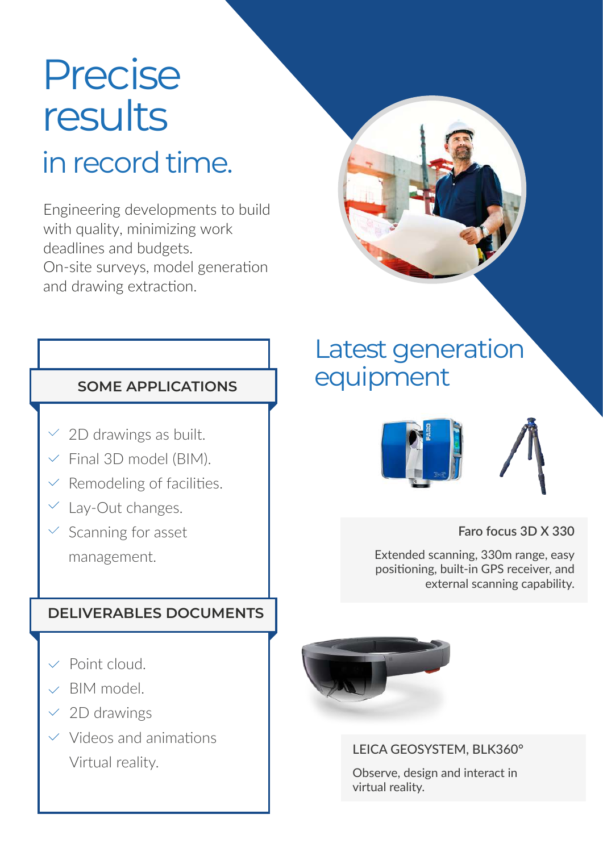# Precise results

# in record time.

Engineering developments to build with quality, minimizing work deadlines and budgets. On-site surveys, model generation and drawing extraction.



- $\vee$  2D drawings as built.
- $\vee$  Final 3D model (BIM).
- $\vee$  Remodeling of facilities.
- Lay-Out changes.
- $\vee$  Scanning for asset

management.

### **DELIVERABLES DOCUMENTS**

- $\vee$  Point cloud.
- $\vee$  BIM model.
- $\vee$  2D drawings
- $\vee$  Videos and animations Virtual reality.

# Latest generation equipment



**Faro focus 3D X 330**

Extended scanning, 330m range, easy positioning, built-in GPS receiver, and external scanning capability.



LEICA GEOSYSTEM, BLK360°

Observe, design and interact in virtual reality.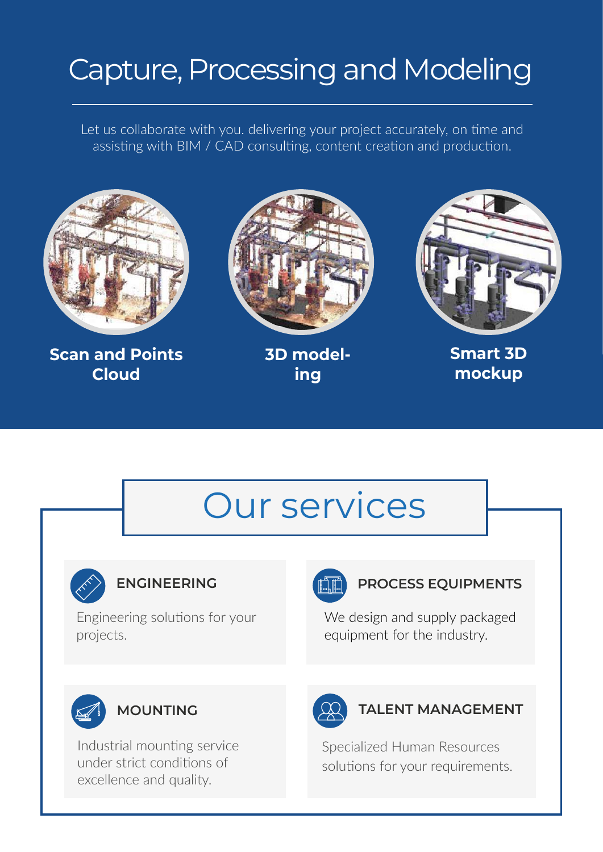# Capture, Processing and Modeling

Let us collaborate with you. delivering your project accurately, on time and assisting with BIM / CAD consulting, content creation and production.



**Scan and Points Cloud**



**3D modeling**



**Smart 3D mockup**

# Our services



Engineering solutions for your projects.



### **ENGINEERING CONTRACTES PROCESS EQUIPMENTS**

We design and supply packaged equipment for the industry.



Industrial mounting service under strict conditions of excellence and quality.



### **MOUNTING CO TALENT MANAGEMENT**

Specialized Human Resources solutions for your requirements.